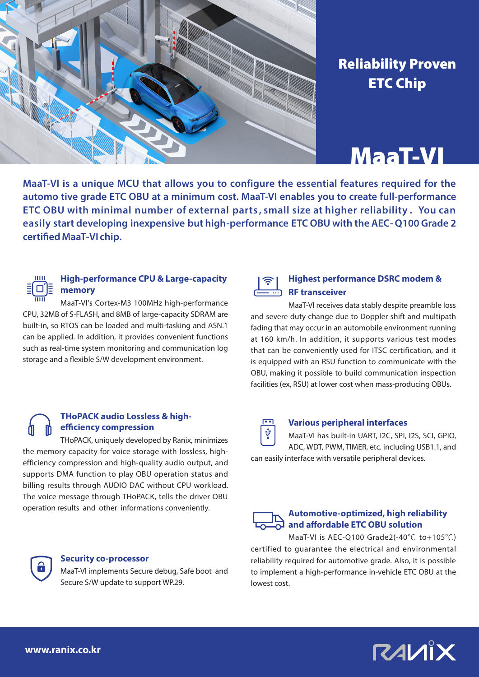

## Reliability Proven ETC Chip

# MaaT-VI

**MaaT-VI is a unique MCU that allows you to configure the essential features required for the automo tive grade ETC OBU at a minimum cost. MaaT-VI enables you to create full-performance ETC OBU with minimal number of external parts , small size at higher reliability . You can easily start developing inexpensive but high-performance ETC OBU with the AEC- Q100 Grade 2 certified MaaT-VI chip.**



#### **High-performance CPU & Large-capacity memory**

MaaT-VI's Cortex-M3 100MHz high-performance CPU, 32MB of S-FLASH, and 8MB of large-capacity SDRAM are built-in, so RTOS can be loaded and multi-tasking and ASN.1 can be applied. In addition, it provides convenient functions such as real-time system monitoring and communication log storage and a flexible S/W development environment.

#### **THoPACK audio Lossless & highefficiency compression**

THoPACK, uniquely developed by Ranix, minimizes the memory capacity for voice storage with lossless, highefficiency compression and high-quality audio output, and supports DMA function to play OBU operation status and billing results through AUDIO DAC without CPU workload. The voice message through THoPACK, tells the driver OBU operation results and other informations conveniently.



#### **Security co-processor**

MaaT-VI implements Secure debug, Safe boot and Secure S/W update to support WP.29.



#### **Highest performance DSRC modem & RF transceiver**

MaaT-VI receives data stably despite preamble loss and severe duty change due to Doppler shift and multipath fading that may occur in an automobile environment running at 160 km/h. In addition, it supports various test modes that can be conveniently used for ITSC certification, and it is equipped with an RSU function to communicate with the OBU, making it possible to build communication inspection facilities (ex, RSU) at lower cost when mass-producing OBUs.



#### **Various peripheral interfaces**

MaaT-VI has built-in UART, I2C, SPI, I2S, SCI, GPIO, ADC, WDT, PWM, TIMER, etc. including USB1.1, and can easily interface with versatile peripheral devices.



#### **Automotive-optimized, high reliability and affordable ETC OBU solution**

MaaT-VI is AEC-Q100 Grade2(-40℃ to+105℃) certified to guarantee the electrical and environmental reliability required for automotive grade. Also, it is possible to implement a high-performance in-vehicle ETC OBU at the lowest cost.